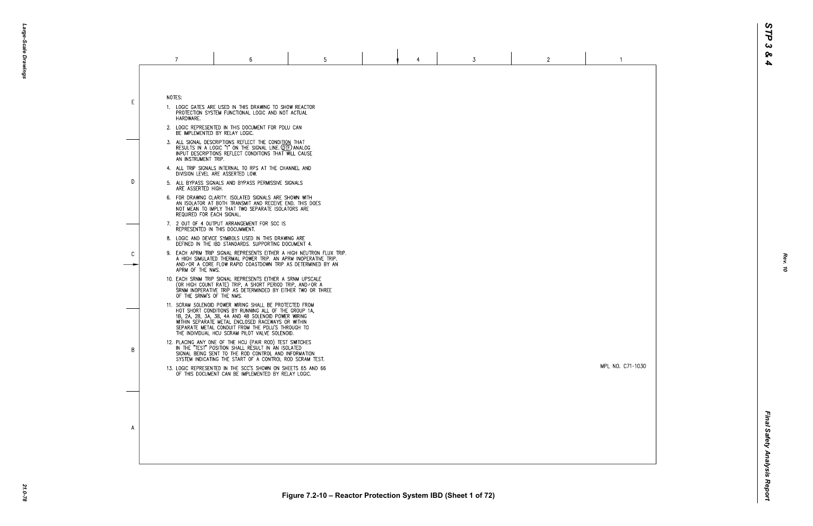MPL NO. C71-1030

 $\overline{1}$ 

|    | 7                                                                                          | 6                                                                                                                                                                                                                                                                                                                                  | 5 |  | 4 | 3 | $\mathbf{2}$ |  |  |  |
|----|--------------------------------------------------------------------------------------------|------------------------------------------------------------------------------------------------------------------------------------------------------------------------------------------------------------------------------------------------------------------------------------------------------------------------------------|---|--|---|---|--------------|--|--|--|
| E. | NOTES:<br>HARDWARE.                                                                        | 1. LOGIC GATES ARE USED IN THIS DRAWING TO SHOW REACTOR<br>PROTECTION SYSTEM FUNCTIONAL LOGIC AND NOT ACTUAL                                                                                                                                                                                                                       |   |  |   |   |              |  |  |  |
|    | 2. LOGIC REPRESENTED IN THIS DOCUMENT FOR PDLU CAN<br>BE IMPLEMENTED BY RELAY LOGIC.       |                                                                                                                                                                                                                                                                                                                                    |   |  |   |   |              |  |  |  |
| D. | AN INSTRUMENT TRIP.                                                                        | 3. ALL SIGNAL DESCRIPTIONS REFLECT THE CONDITION THAT<br>RESULTS IN A LOGIC "1" ON THE SIGNAL LINE. QTF) ANALOG<br>INPUT DESCRIPTIONS REFLECT CONDITIONS THAT WILL CAUSE                                                                                                                                                           |   |  |   |   |              |  |  |  |
|    | 4. ALL TRIP SIGNALS INTERNAL TO RPS AT THE CHANNEL AND<br>DIVISION LEVEL ARE ASSERTED LOW. |                                                                                                                                                                                                                                                                                                                                    |   |  |   |   |              |  |  |  |
|    | ARE ASSERTED HIGH.                                                                         | 5. ALL BYPASS SIGNALS AND BYPASS PERMISSIVE SIGNALS                                                                                                                                                                                                                                                                                |   |  |   |   |              |  |  |  |
|    | REQUIRED FOR EACH SIGNAL.                                                                  | 6. FOR DRAWING CLARITY. ISOLATED SIGNALS ARE SHOWN WITH<br>AN ISOLATOR AT BOTH TRANSMIT AND RECEIVE END. THIS DOES<br>NOT MEAN TO IMPLY THAT TWO SEPARATE ISOLATORS ARE                                                                                                                                                            |   |  |   |   |              |  |  |  |
| C  |                                                                                            | 7. 2 OUT OF 4 OUTPUT ARRANGEMENT FOR SCC IS<br>REPRESENTED IN THIS DOCUMMENT.                                                                                                                                                                                                                                                      |   |  |   |   |              |  |  |  |
|    |                                                                                            | 8. LOGIC AND DEVICE SYMBOLS USED IN THIS DRAWING ARE<br>DEFINED IN THE IBD STANDARDS. SUPPORTING DOCUMENT 4.                                                                                                                                                                                                                       |   |  |   |   |              |  |  |  |
|    | APRM OF THE NMS.                                                                           | 9. EACH APRM TRIP SIGNAL REPRESENTS EITHER A HIGH NEUTRON FLUX TRIP.<br>A HIGH SIMULATED THERMAL POWER TRIP. AN APRM INOPERATIVE TRIP.<br>AND/OR A CORE FLOW RAPID COASTDOWN TRIP AS DETERMINED BY AN                                                                                                                              |   |  |   |   |              |  |  |  |
|    | OF THE SRNM'S OF THE NMS.                                                                  | 10. EACH SRNM TRIP SIGNAL REPRESENTS EITHER A SRNM UPSCALE<br>(OR HIGH COUNT RATE) TRIP, A SHORT PERIOD TRIP, AND/OR A<br>SRNM INOPERATIVE TRIP AS DETERMINDED BY EITHER TWO OR THREE                                                                                                                                              |   |  |   |   |              |  |  |  |
|    |                                                                                            | 11. SCRAM SOLENOID POWER WIRING SHALL BE PROTECTED FROM<br>HOT SHORT CONDITIONS BY RUNNING ALL OF THE GROUP 1A.<br>1B, 2A, 2B, 3A, 3B, 4A AND 4B SOLENOID POWER WIRING<br>WITHIN SEPARATE METAL ENCLOSED RACEWAYS OR WITHIN<br>SEPARATE METAL CONDUIT FROM THE PDLU'S THROUGH TO<br>THE INDIVIDUAL HCU SCRAM PILOT VALVE SOLENOID. |   |  |   |   |              |  |  |  |
| B  |                                                                                            | 12. PLACING ANY ONE OF THE HCU (PAIR ROD) TEST SWITCHES<br>IN THE "TEST" POSITION SHALL RESULT IN AN ISOLATED<br>SIGNAL BEING SENT TO THE ROD CONTROL AND INFORMATION<br>SYSTEM INDICATING THE START OF A CONTROL ROD SCRAM TEST.                                                                                                  |   |  |   |   |              |  |  |  |
|    |                                                                                            | 13. LOGIC REPRESENTED IN THE SCC'S SHOWN ON SHEETS 65 AND 66<br>OF THIS DOCUMENT CAN BE IMPLEMENTED BY RELAY LOGIC.                                                                                                                                                                                                                |   |  |   |   |              |  |  |  |
|    |                                                                                            |                                                                                                                                                                                                                                                                                                                                    |   |  |   |   |              |  |  |  |
|    |                                                                                            |                                                                                                                                                                                                                                                                                                                                    |   |  |   |   |              |  |  |  |
| A  |                                                                                            |                                                                                                                                                                                                                                                                                                                                    |   |  |   |   |              |  |  |  |
|    |                                                                                            |                                                                                                                                                                                                                                                                                                                                    |   |  |   |   |              |  |  |  |
|    |                                                                                            |                                                                                                                                                                                                                                                                                                                                    |   |  |   |   |              |  |  |  |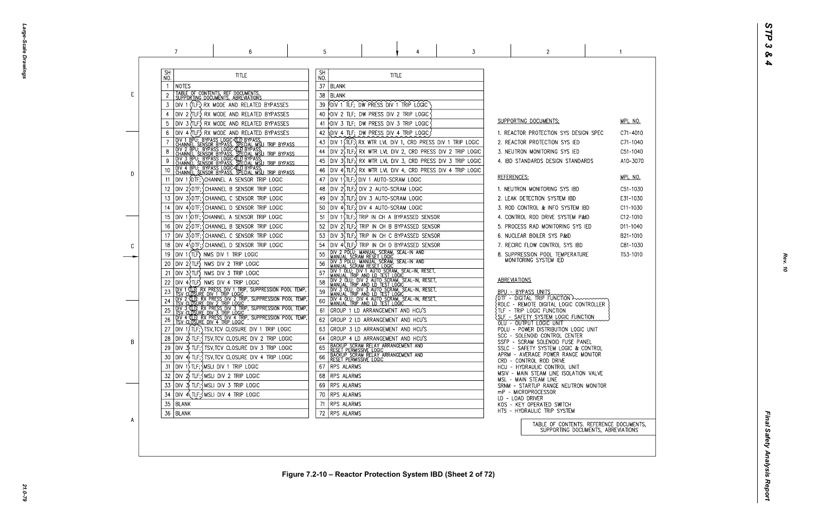Large-Scale Drawings *Large-Scale Drawings*

|    | 7                                                                                                                                                                                                                                        | 6                                                                                                                                                                                                                                                                                                                                                                                                                                                               | 5                                                                                                       |                                                                                                                                                                                                                                                                                                                                                                                                                                                                                                                                                                                   | 3                                                                                                                                                                                                                                                                                                                  | 2                                                                                                                                                                                                                                                                                                                                                                                                                                                                                                                                                                             |  |
|----|------------------------------------------------------------------------------------------------------------------------------------------------------------------------------------------------------------------------------------------|-----------------------------------------------------------------------------------------------------------------------------------------------------------------------------------------------------------------------------------------------------------------------------------------------------------------------------------------------------------------------------------------------------------------------------------------------------------------|---------------------------------------------------------------------------------------------------------|-----------------------------------------------------------------------------------------------------------------------------------------------------------------------------------------------------------------------------------------------------------------------------------------------------------------------------------------------------------------------------------------------------------------------------------------------------------------------------------------------------------------------------------------------------------------------------------|--------------------------------------------------------------------------------------------------------------------------------------------------------------------------------------------------------------------------------------------------------------------------------------------------------------------|-------------------------------------------------------------------------------------------------------------------------------------------------------------------------------------------------------------------------------------------------------------------------------------------------------------------------------------------------------------------------------------------------------------------------------------------------------------------------------------------------------------------------------------------------------------------------------|--|
| E. | <b>SH</b><br>NO.<br>NOTES<br>TABLE OF CONTENTS, REF DOCUMENTS, SUPPORTING DOCUMENTS, ABREVIATIONS<br>3                                                                                                                                   | <b>TITLE</b><br>DIV 1 (TLF;) RX MODE AND RELATED BYPASSES<br>DIV 2 (TLF) RX MODE AND RELATED BYPASSES                                                                                                                                                                                                                                                                                                                                                           | <b>SH</b><br>NO.<br>37<br><b>BLANK</b><br>38<br><b>BLANK</b><br>39.<br>40                               | <b>TITLE</b><br>FOIV 1 TLF; DW PRESS DIV 1 TRIP LOGIC<br>DIV 2 TLF; DW PRESS DIV 2 TRIP LOGIC                                                                                                                                                                                                                                                                                                                                                                                                                                                                                     |                                                                                                                                                                                                                                                                                                                    |                                                                                                                                                                                                                                                                                                                                                                                                                                                                                                                                                                               |  |
| D  | 10<br>11<br>12<br>13                                                                                                                                                                                                                     | DIV 3 (TLF) RX MODE AND RELATED BYPASSES<br>DIV 4 (TLF.) RX MODE AND RELATED BYPASSES<br><b>THE TRANSPORT OF THE CONSUMING CONTROLS ON THE CONSUMING CONSUMING CONSUMING CONSUMING CONSUMING CONSUMING CONSUMING CONSUMING CONSUMING CONSUMING CONSUMING CONSUMING CONSUMING CONSUMING CONSUMING CONSUMING CONSUMING CONS</b><br>DIV 1 {DTF; } CHANNEL A SENSOR TRIP LOGIC<br>DIV 2>DTF; SCHANNEL B SENSOR TRIP LOGIC<br>DIV 3>DTF; CHANNEL C SENSOR TRIP LOGIC | 41<br>42<br>43<br>44<br>45<br>46<br>47<br>48<br>49                                                      | PDIV 3 TLF; DW PRESS DIV 3 TRIP LOGIC<br>OIV 4 TLF; DW PRESS DIV 4 TRIP LOGIC<br>DIV 1 STLF; OIV 1 AUTO-SCRAM LOGIC<br> DIV 2(TLF:\DIV 2 AUTO-SCRAM LOGIC<br>DIV 3(TLF;) DIV 3 AUTO-SCRAM LOGIC                                                                                                                                                                                                                                                                                                                                                                                   | DIV 1 $\overline{I}$ (TLF; $\overline{I}$ RX WTR LVL DIV 1, CRD PRESS DIV 1 TRIP LOGIC<br>DIV $2\sqrt{t}$ TLF; $\sqrt{t}$ RX WTR LVL DIV 2, CRD PRESS DIV 2 TRIP LOGIC<br>DIV 3\$TLF; RX WTR LVL DIV 3, CRD PRESS DIV 3 TRIP LOGIC<br>DIV $4\sqrt{t}$ TLF; $\sqrt{t}$ RX WTR LVL DIV 4, CRD PRESS DIV 4 TRIP LOGIC | SUPPORTING DOCUMENTS:<br>1. REACTOR PROTECTION SYS DESIGN SPE<br>2. REACTOR PROTECTION SYS IED<br>3. NEUTRON MONITORING SYS IED<br>4. IBD STANDARDS DESIGN STANDARDS<br>REFERENCES:<br>1. NEUTRON MONITORING SYS IBD<br>2. LEAK DETECTION SYSTEM IBD                                                                                                                                                                                                                                                                                                                          |  |
| C  | 14<br>15<br>16<br>17<br>18<br>DIV 1 (TLF) NMS DIV 1 TRIP LOGIC<br>19<br>$DIV$ 2 $TLF$ NMS DIV 2 TRIP LOGIC<br>20                                                                                                                         | DIV 4 DTF; CHANNEL D SENSOR TRIP LOGIC<br>DIV 1 DIF; CHANNEL A SENSOR TRIP LOGIC<br>DIV 2 DTF; CHANNEL B SENSOR TRIP LOGIC<br>DIV 3 DTF; CHANNEL C SENSOR TRIP LOGIC<br>DIV 4\DTF; CHANNEL D SENSOR TRIP LOGIC                                                                                                                                                                                                                                                  | 50<br>51<br>52<br>53<br>54<br>55<br>56                                                                  | DIV 4, TLF: UN 4 AUTO-SCRAM LOGIC<br>DIV 1(TLF; ) TRIP IN CH A BYPASSED SENSOR<br>DIV 2, TLF; TRIP IN CH B BYPASSED SENSOR<br>DIV 3(TLF:) TRIP IN CH C BYPASSED SENSOR<br>DIV 4(TLF;) TRIP IN CH D BYPASSED SENSOR<br>DIV 2 PDLU; MANUAL SCRAM, SEAL-IN AND<br>MANUAL SCRAM RESET LOGIC<br>DIV 3 PDLU; MANUAL SCRĂM, SEAL-IN AND<br>MANUAL SCRAM RESET LOGIC                                                                                                                                                                                                                      |                                                                                                                                                                                                                                                                                                                    | 3. ROD CONTROL & INFO SYSTEM IBD<br>4. CONTROL ROD DRIVE SYSTEM P&ID<br>5. PROCESS RAD MONITORING SYS IED<br>6. NUCLEAR BOILER SYS P&ID<br>7. RECIRC FLOW CONTROL SYS IBD<br>8. SUPPRESSION POOL TEMPERATURE<br>MONITORING SYSTEM IED                                                                                                                                                                                                                                                                                                                                         |  |
| B  | $DIV 3$ $TLF$ NMS DIV 3 TRIP LOGIC<br>21<br>$DIV 4$ $TLF$ ) NMS DIV 4 TRIP LOGIC<br>26<br>28<br>30<br>$ $ DIV 1 $\rangle$ TLF; $\zeta$ MSLI DIV 1 TRIP LOGIC<br>31<br>$ $ DIV $2\sqrt{ }$ TLF; $\frac{1}{2}$ MSLI DIV 2 TRIP LOGIC<br>32 | DIV 4 TLP, RX PRESS DIV 4 TRIP, SUPPRESSION POOL TEMP,<br>TSV CLOSURE DIV 4 TRIP LOGIC<br>DIV $1\overline{1}$ (TLF; ) TSV, TCV CLOSURE DIV 1 TRIP LOGIC<br>$ D V \t2$ TLF; $\int$ TSV, TCV CLOSURE DIV 2 TRIP LOGIC<br> DIV 3) TLF;{TSV,TCV CLOSURE DIV 3 TRIP LOGIC<br>$ D V $ 4 $\frac{1}{2}$ TLF; $\frac{1}{2}$ TSV, TCV CLOSURE DIV 4 TRIP LOGIC                                                                                                            | 57<br>58<br>59<br>60<br>61<br>62<br>63<br>64<br>65<br>66<br>RPS ALARMS<br>67<br><b>RPS ALARMS</b><br>68 | THE THE THE THE SCRAM, SEAL-IN, RESET,<br>I MANUAL TRIP AND LD TEST LOGIC<br>DIV 2 OLU; DIV 2 AUTO SCRAM, SEAL-IN, RESET,<br>I MANUAL TRIP AND LD TEST LOGIC<br>DIV 3 OLU; DIV 3 AUTO SCRAM, SEAL-IN, RESET,<br>MANUAL TRIP AND LD TEST LOGIC<br>DIV 4 OLU; DIV 4 AUTO SCRAM, SEAL-IN, RESET,<br>GROUP 1 LD ARRANGEMENT AND HCU'S<br>GROUP 2 LD ARRANGEMENT AND HCU'S<br>GROUP 3 LD ARRANGEMENT AND HCU'S<br>GROUP 4 LD ARRANGEMENT AND HCU'S<br>TBACKUP SCRAM RELAY ARRANGEMENT AND<br>TRESET PERMISSIVE LOGIC<br>TBACKUP SCRAM RELAY ARRANGEMENT AND<br>TRESET PERMISSIVE LOGIC |                                                                                                                                                                                                                                                                                                                    | ABREVIATIONS<br>BPU - BYPASS UNITS<br>$\{$ DTF - DIGITAL TRIP FUNCTION $\rightarrow$<br>$\{ \texttt{RDLC}$ - $\texttt{REMOTE}$ digital logic controlle<br>TLF - TRIP LOGIC FUNCTION<br>SLF - SAFETY SYSTEM LOGIC FUNCTION<br>OLU - OUTPUT LOGIC UNIT<br>PDLU - POWER DISTRIBUTION LOGIC UNIT<br>SCC - SOLENOID CONTROL CENTER<br>SSFP - SCRAM SOLENOID FUSE PANEL<br>SSLC - SAFETY SYSTEM LOGIC & CONTROL<br>APRM - AVERAGE POWER RANGE MONITOR<br>CRD - CONTROL ROD DRIVE<br>HCU - HYDRAULIC CONTROL UNIT<br>MSIV - MAIN STEAM LINE ISOLATION VALVI<br>MSL - MAIN STEAM LINE |  |
| A  | $ D V \rightrightarrows$ TLF; $\wedge$ MSLI DIV 3 TRIP LOGIC<br>33<br>$Div 4\{TLF\}$ MSLI DIV 4 TRIP LOGIC<br>34<br>35<br>BLANK<br>36   BLANK                                                                                            |                                                                                                                                                                                                                                                                                                                                                                                                                                                                 | RPS ALARMS<br>69<br>RPS ALARMS<br>70<br><b>RPS ALARMS</b><br>71<br>RPS ALARMS<br>72                     |                                                                                                                                                                                                                                                                                                                                                                                                                                                                                                                                                                                   |                                                                                                                                                                                                                                                                                                                    | SRNM - STARTUP RANGE NEUTRON MONIT<br>mP - MICROPROCESSOR<br>LD - LOAD DRIVER<br>KOS - KEY OPERATED SWITCH<br>HTS - HYDRAULIC TRIP SYSTEM<br>TABLE OF CONTENTS. REFER<br>SUPPORTING DOCUMENTS                                                                                                                                                                                                                                                                                                                                                                                 |  |

| - (       | <u>MPL NO.</u><br>C71-4010<br>C71-1040<br>C51-1040<br>A10-3070                                                 |
|-----------|----------------------------------------------------------------------------------------------------------------|
|           | <u>MPL NO.</u><br>C51-1030<br>E31-1030<br>C11-1030<br>C12-1010<br>D11-1040<br>B21-1010<br>C81-1030<br>T53-1010 |
| .ER       |                                                                                                                |
|           |                                                                                                                |
| νE<br>TOR |                                                                                                                |
|           | RENCE DOCUMENTS,<br>S, ABREVIATIONS                                                                            |

 $\sim$  1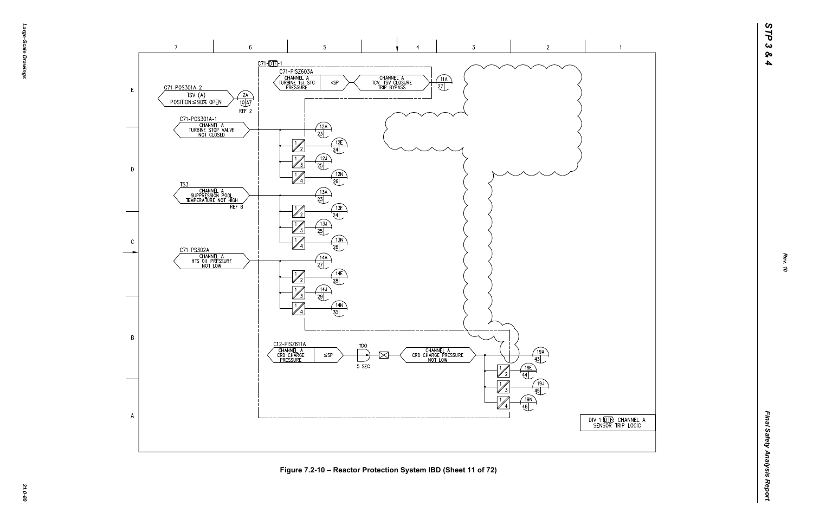-эбле-*Large-Scale Drawings* -Scale Drawings



*21.0-80* **Figure 7.2-10 – Reactor Protection System IBD (Sheet 11 of 72)**

DIV 1 (OTE) CHANNEL A<br>SENSOR TRIP LOGIC

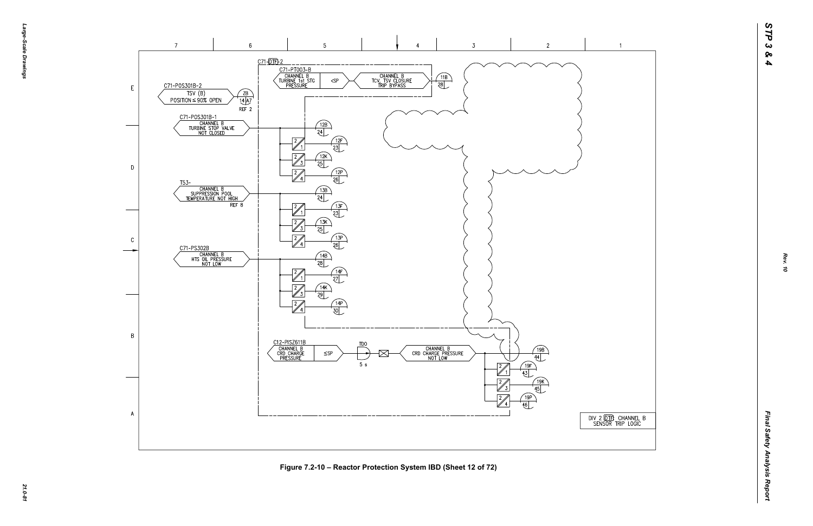





*21.0-81* **Figure 7.2-10 – Reactor Protection System IBD (Sheet 12 of 72)**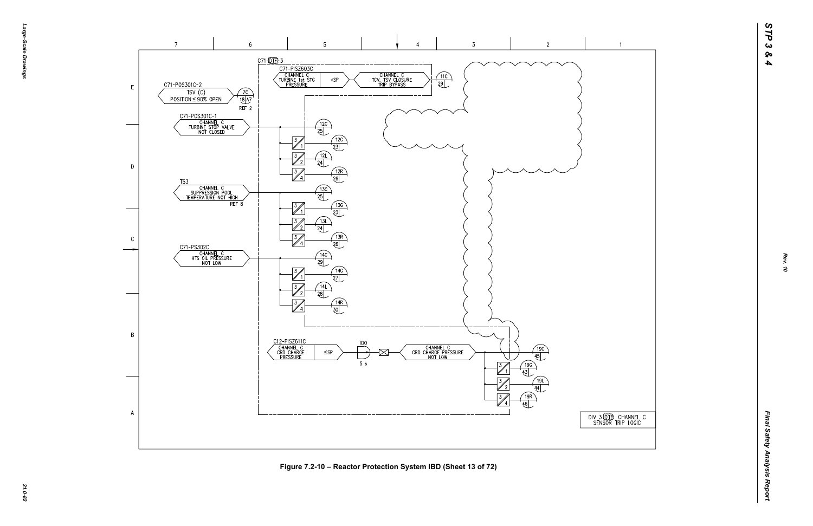



*21.0-82* **Figure 7.2-10 – Reactor Protection System IBD (Sheet 13 of 72)**

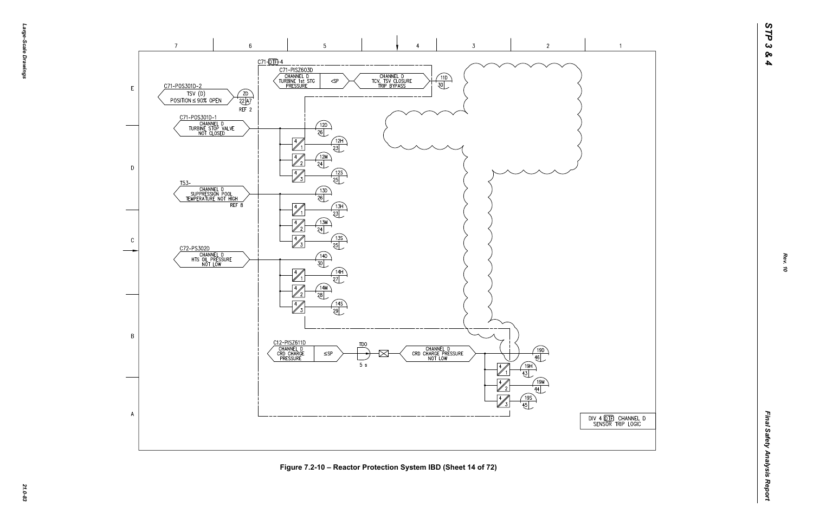





*21.0-83* **Figure 7.2-10 – Reactor Protection System IBD (Sheet 14 of 72)**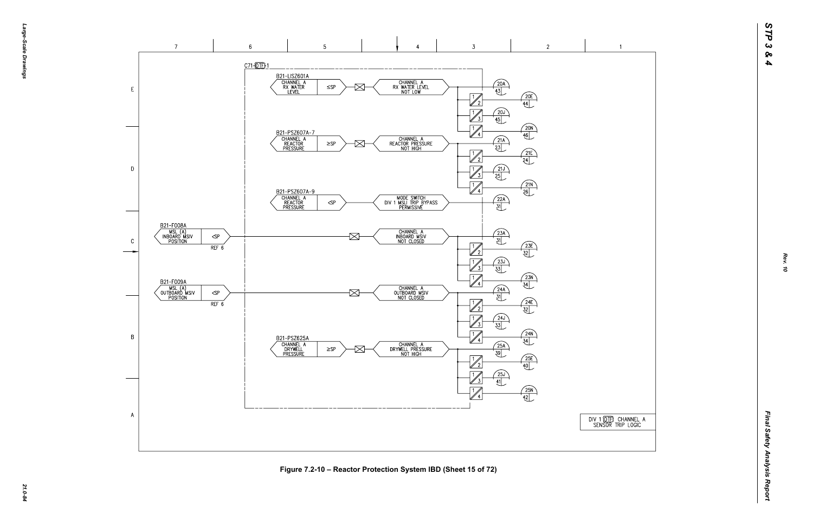



Figure 7.2-10 – Reactor Protection System IBD (Sheet 15 of 72)<br>ية<br>يُ<sup>م</sup>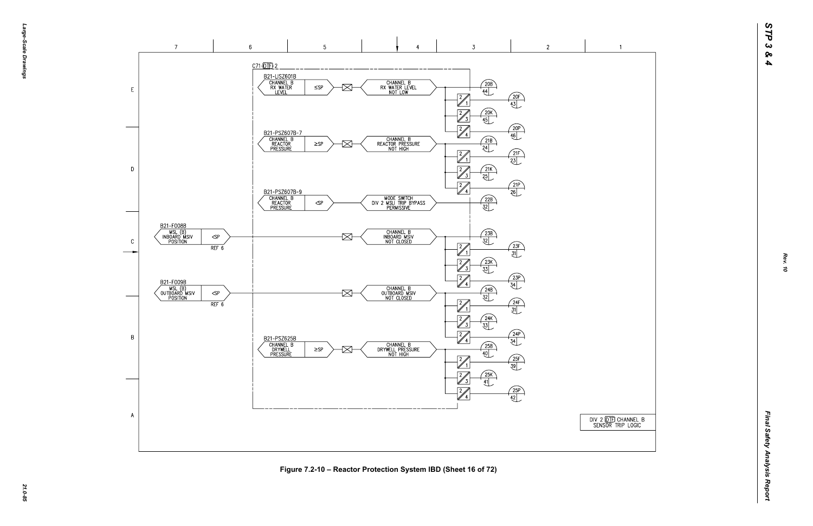



*21.0-85* **Figure 7.2-10 – Reactor Protection System IBD (Sheet 16 of 72)**

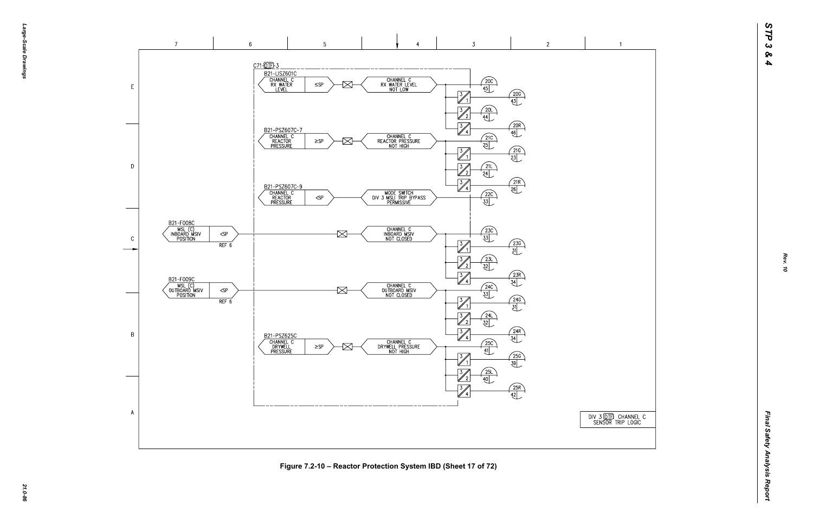DIV 3 00 THE CHANNEL C<br>SENSOR TRIP LOGIC



*21.0-86* **Figure 7.2-10 – Reactor Protection System IBD (Sheet 17 of 72)**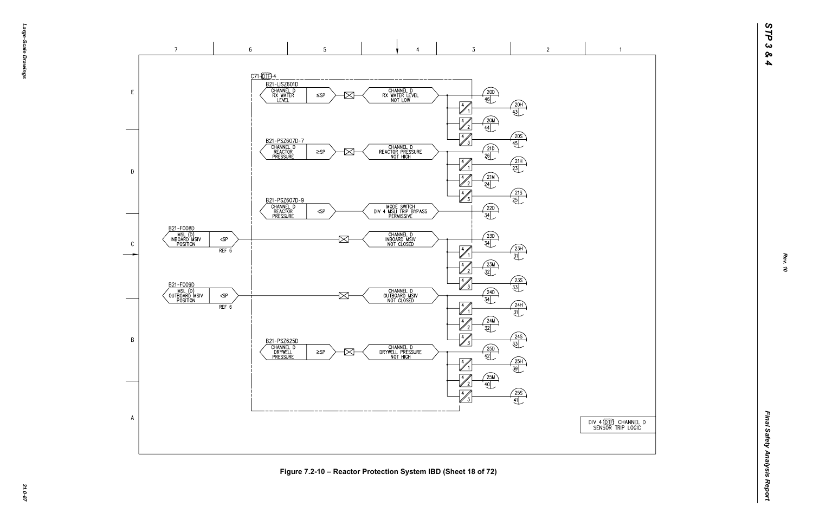DIV 4 (DTF) CHANNEL D<br>SENSOR TRIP LOGIC

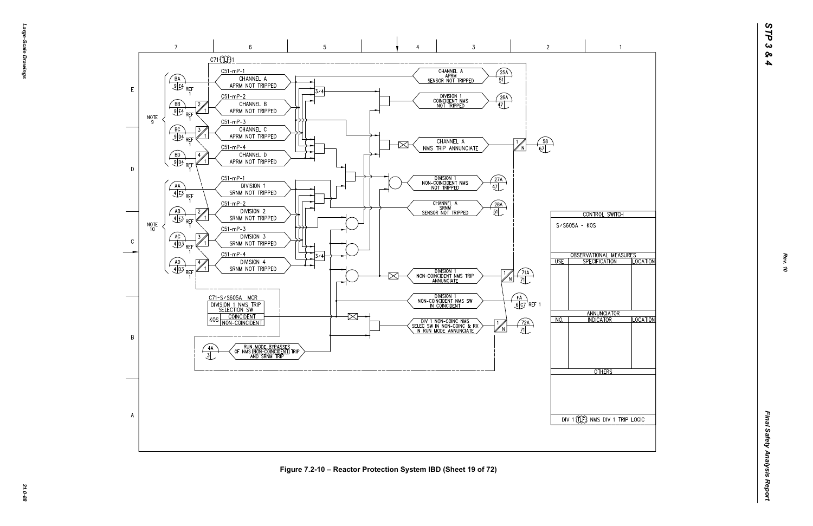

*21.0-88* **Figure 7.2-10 – Reactor Protection System IBD (Sheet 19 of 72)**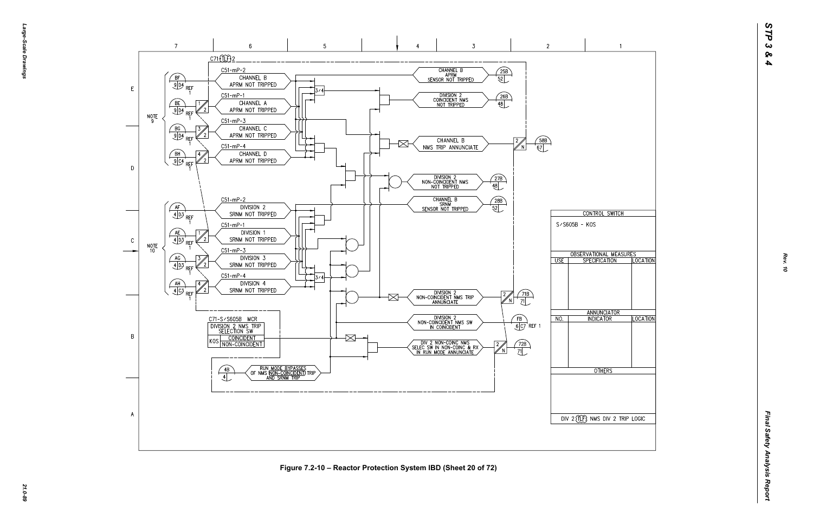

*21.0-89* **Figure 7.2-10 – Reactor Protection System IBD (Sheet 20 of 72)**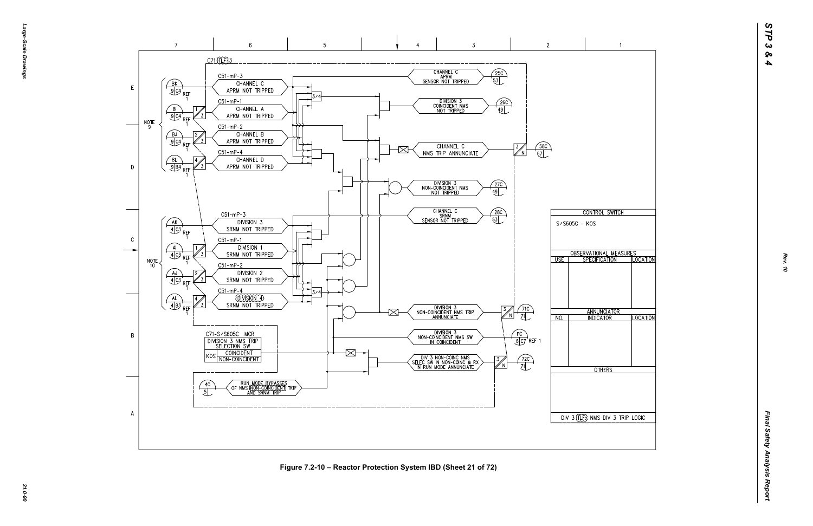

*21.0-90* **Figure 7.2-10 – Reactor Protection System IBD (Sheet 21 of 72)**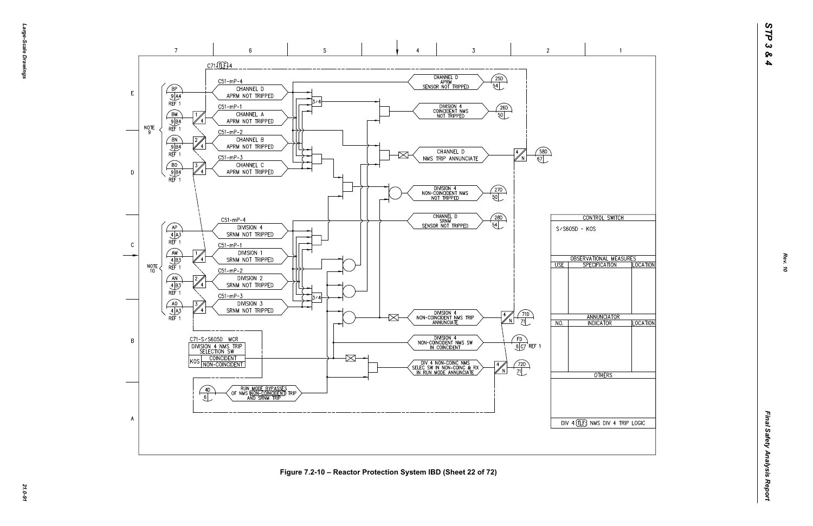*Large-Scale Drawings* arge--Scale Drawings

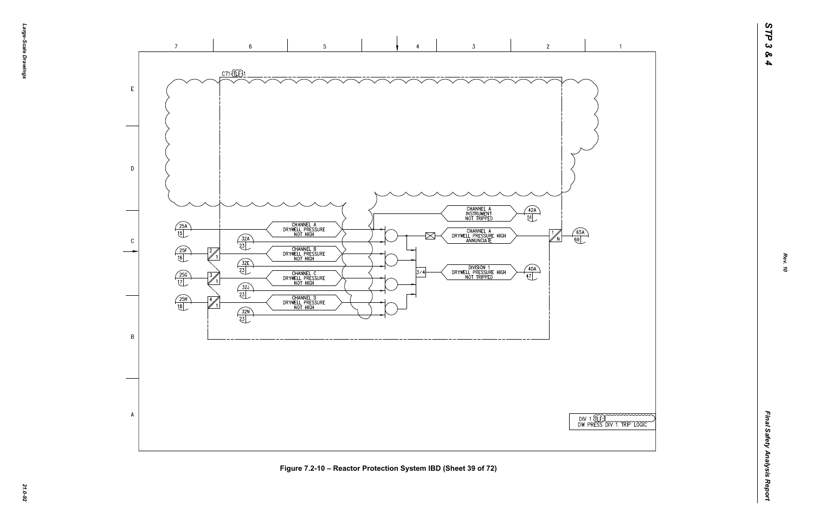

*21.0-92* **Figure 7.2-10 – Reactor Protection System IBD (Sheet 39 of 72)**



*Rev. 10*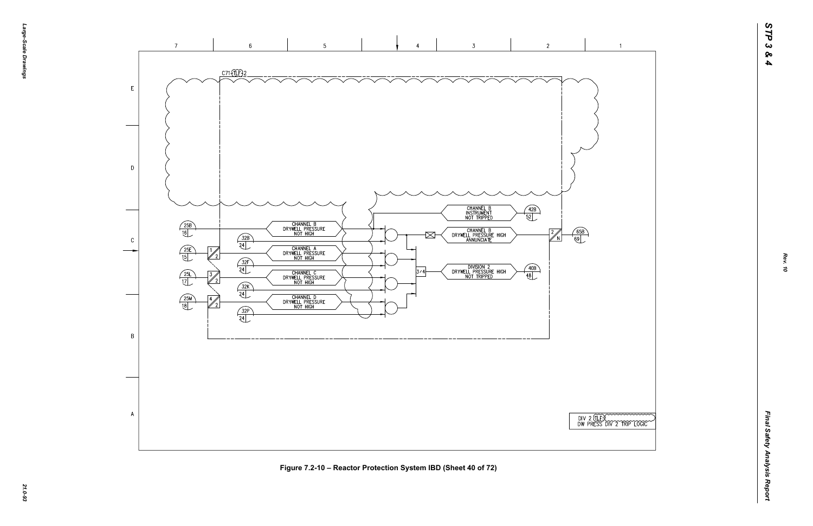

|  |  | TERCOOL STRIP LOGIC |  |
|--|--|---------------------|--|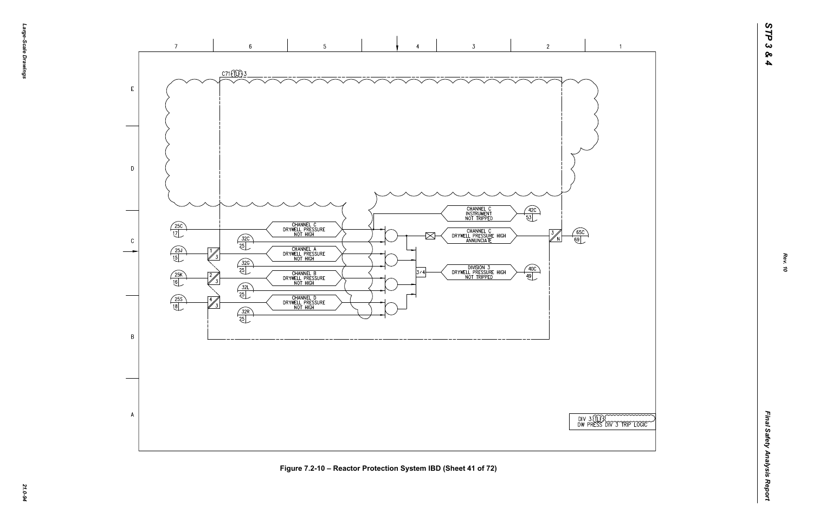

*21.0-94* **Figure 7.2-10 – Reactor Protection System IBD (Sheet 41 of 72)**

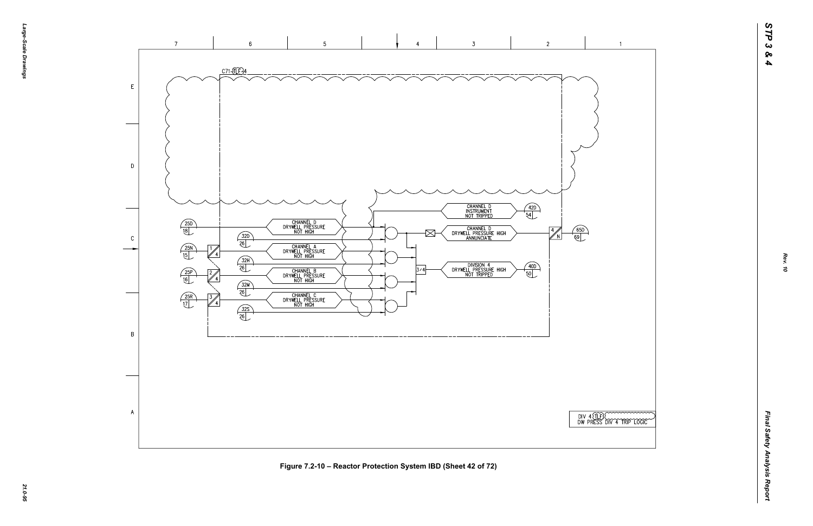

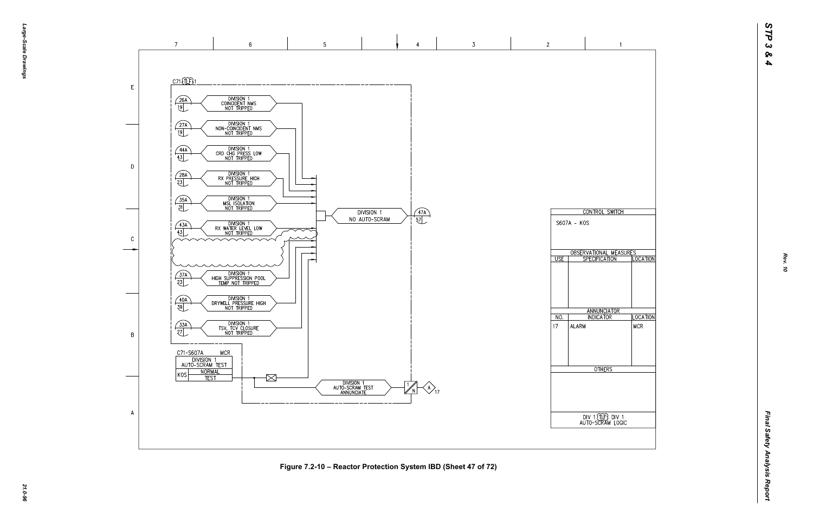

*21.0-96* **Figure 7.2-10 – Reactor Protection System IBD (Sheet 47 of 72)**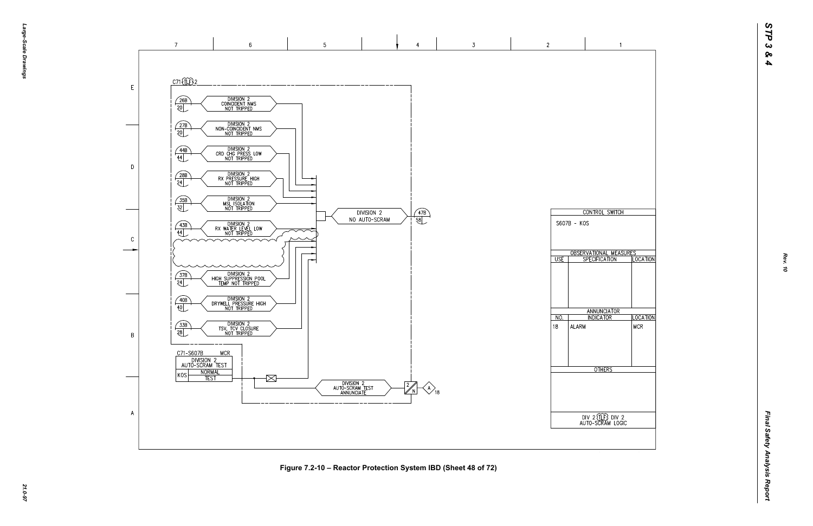

*21.0-97* **Figure 7.2-10 – Reactor Protection System IBD (Sheet 48 of 72)**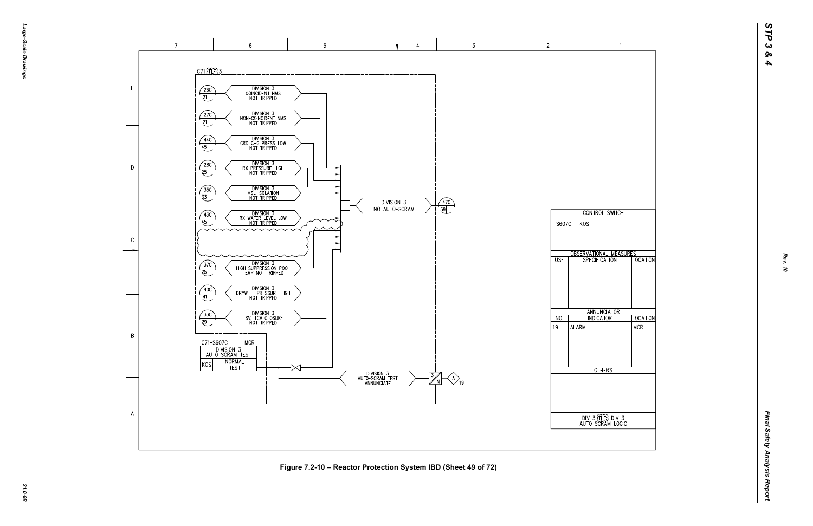

*21.0-98* **Figure 7.2-10 – Reactor Protection System IBD (Sheet 49 of 72)**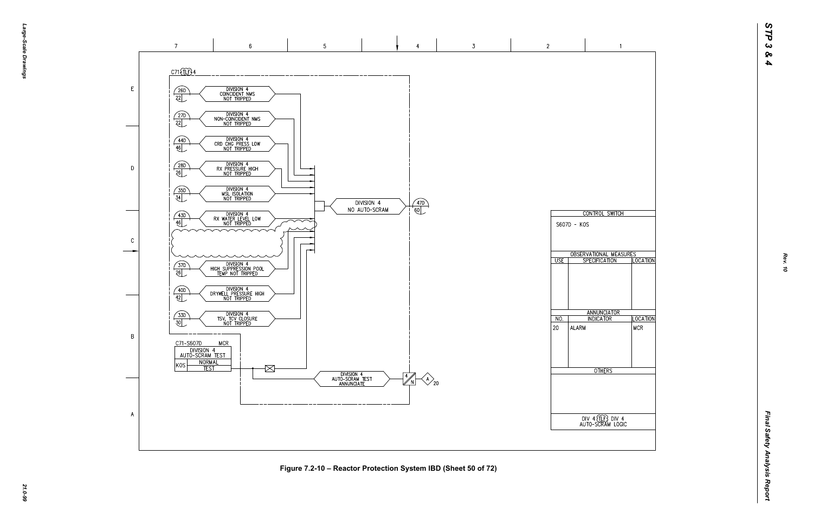

*21.0-99* **Figure 7.2-10 – Reactor Protection System IBD (Sheet 50 of 72)**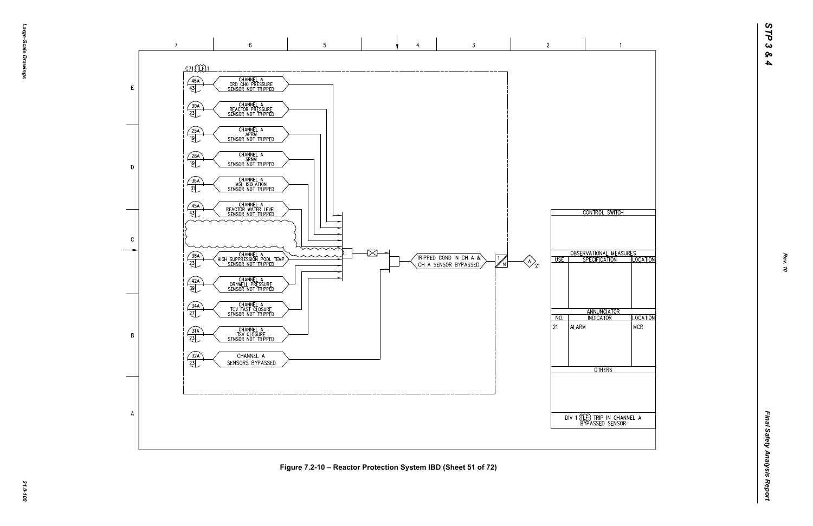



*21.0-100* **Figure 7.2-10 – Reactor Protection System IBD (Sheet 51 of 72)**

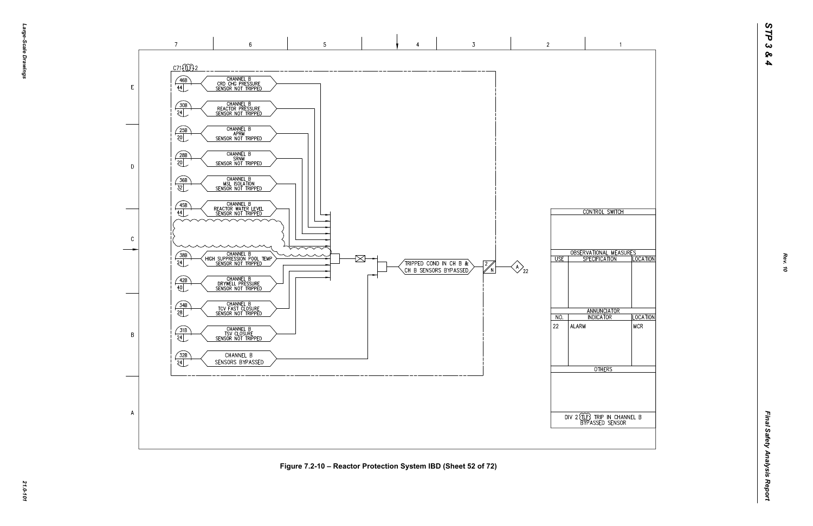

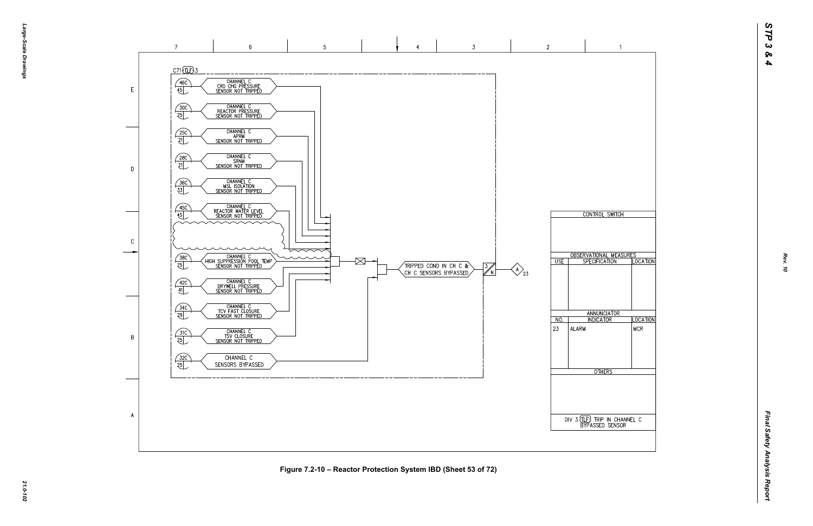

*21.0-102* **Figure 7.2-10 – Reactor Protection System IBD (Sheet 53 of 72)**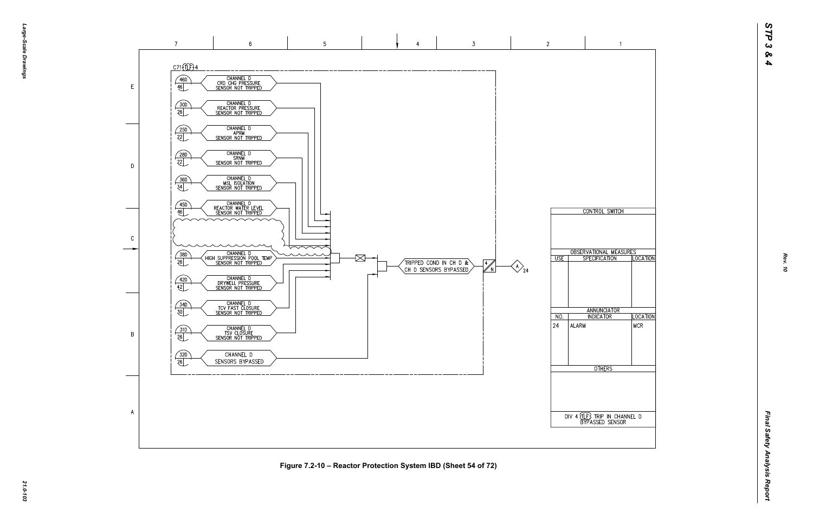

 $\overline{A}$ 

*21.0-103* **Figure 7.2-10 – Reactor Protection System IBD (Sheet 54 of 72)**



 $\overline{2}$ 

 $\overline{\cup}$  USE

 $NO.$ 

ALARM

 $|24\rangle$ 

 $\bigotimes_{24}$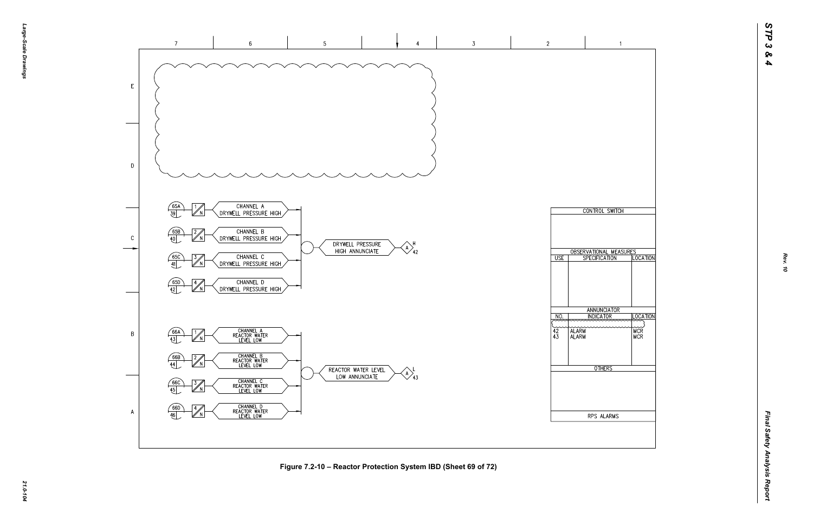

*21.0-104* **Figure 7.2-10 – Reactor Protection System IBD (Sheet 69 of 72)**